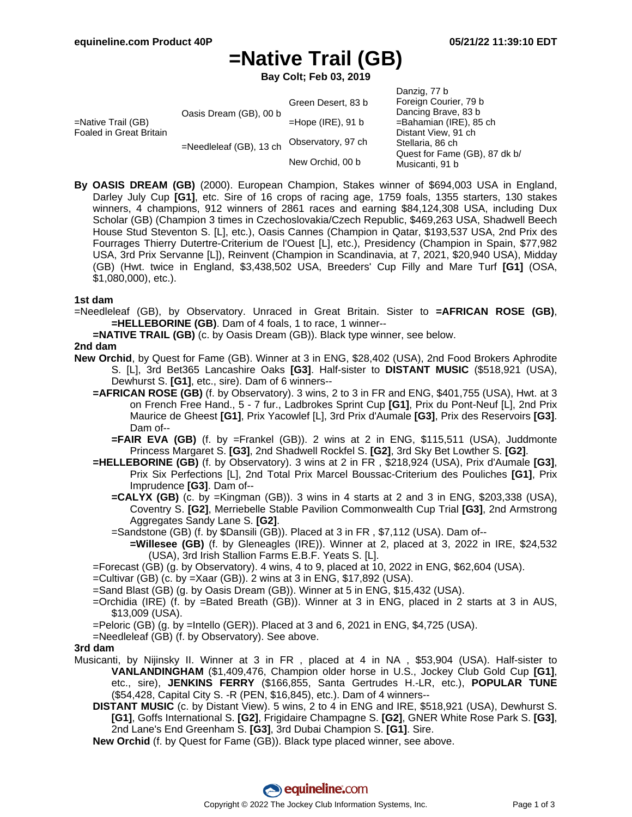Danzig, 77 b

# **=Native Trail (GB)**

**Bay Colt; Feb 03, 2019**

|                                                  |                         |                      | Daliziy, <i>II</i> D          |
|--------------------------------------------------|-------------------------|----------------------|-------------------------------|
| $=$ Native Trail (GB)<br>Foaled in Great Britain | Oasis Dream (GB), 00 b  | Green Desert, 83 b   | Foreign Courier, 79 b         |
|                                                  |                         |                      | Dancing Brave, 83 b           |
|                                                  |                         | $=$ Hope (IRE), 91 b | $=$ Bahamian (IRE), 85 ch     |
|                                                  | =Needleleaf (GB), 13 ch |                      | Distant View, 91 ch           |
|                                                  |                         | Observatory, 97 ch   | Stellaria, 86 ch              |
|                                                  |                         | New Orchid, 00 b     | Quest for Fame (GB), 87 dk b/ |
|                                                  |                         |                      | Musicanti, 91 b               |
|                                                  |                         |                      |                               |

**By OASIS DREAM (GB)** (2000). European Champion, Stakes winner of \$694,003 USA in England, Darley July Cup **[G1]**, etc. Sire of 16 crops of racing age, 1759 foals, 1355 starters, 130 stakes winners, 4 champions, 912 winners of 2861 races and earning \$84,124,308 USA, including Dux Scholar (GB) (Champion 3 times in Czechoslovakia/Czech Republic, \$469,263 USA, Shadwell Beech House Stud Steventon S. [L], etc.), Oasis Cannes (Champion in Qatar, \$193,537 USA, 2nd Prix des Fourrages Thierry Dutertre-Criterium de l'Ouest [L], etc.), Presidency (Champion in Spain, \$77,982 USA, 3rd Prix Servanne [L]), Reinvent (Champion in Scandinavia, at 7, 2021, \$20,940 USA), Midday (GB) (Hwt. twice in England, \$3,438,502 USA, Breeders' Cup Filly and Mare Turf **[G1]** (OSA, \$1,080,000), etc.).

#### **1st dam**

- =Needleleaf (GB), by Observatory. Unraced in Great Britain. Sister to **=AFRICAN ROSE (GB)**, **=HELLEBORINE (GB)**. Dam of 4 foals, 1 to race, 1 winner--
- **=NATIVE TRAIL (GB)** (c. by Oasis Dream (GB)). Black type winner, see below.

#### **2nd dam**

- **New Orchid**, by Quest for Fame (GB). Winner at 3 in ENG, \$28,402 (USA), 2nd Food Brokers Aphrodite S. [L], 3rd Bet365 Lancashire Oaks **[G3]**. Half-sister to **DISTANT MUSIC** (\$518,921 (USA), Dewhurst S. **[G1]**, etc., sire). Dam of 6 winners--
	- **=AFRICAN ROSE (GB)** (f. by Observatory). 3 wins, 2 to 3 in FR and ENG, \$401,755 (USA), Hwt. at 3 on French Free Hand., 5 - 7 fur., Ladbrokes Sprint Cup **[G1]**, Prix du Pont-Neuf [L], 2nd Prix Maurice de Gheest **[G1]**, Prix Yacowlef [L], 3rd Prix d'Aumale **[G3]**, Prix des Reservoirs **[G3]**. Dam of--
		- **=FAIR EVA (GB)** (f. by =Frankel (GB)). 2 wins at 2 in ENG, \$115,511 (USA), Juddmonte Princess Margaret S. **[G3]**, 2nd Shadwell Rockfel S. **[G2]**, 3rd Sky Bet Lowther S. **[G2]**.
	- **=HELLEBORINE (GB)** (f. by Observatory). 3 wins at 2 in FR , \$218,924 (USA), Prix d'Aumale **[G3]**, Prix Six Perfections [L], 2nd Total Prix Marcel Boussac-Criterium des Pouliches **[G1]**, Prix Imprudence **[G3]**. Dam of--
		- **=CALYX (GB)** (c. by =Kingman (GB)). 3 wins in 4 starts at 2 and 3 in ENG, \$203,338 (USA), Coventry S. **[G2]**, Merriebelle Stable Pavilion Commonwealth Cup Trial **[G3]**, 2nd Armstrong Aggregates Sandy Lane S. **[G2]**.
		- =Sandstone (GB) (f. by \$Dansili (GB)). Placed at 3 in FR , \$7,112 (USA). Dam of--
			- **=Willesee (GB)** (f. by Gleneagles (IRE)). Winner at 2, placed at 3, 2022 in IRE, \$24,532 (USA), 3rd Irish Stallion Farms E.B.F. Yeats S. [L].
	- =Forecast (GB) (g. by Observatory). 4 wins, 4 to 9, placed at 10, 2022 in ENG, \$62,604 (USA).
	- =Cultivar (GB) (c. by =Xaar (GB)). 2 wins at 3 in ENG, \$17,892 (USA).
	- =Sand Blast (GB) (g. by Oasis Dream (GB)). Winner at 5 in ENG, \$15,432 (USA).
	- =Orchidia (IRE) (f. by =Bated Breath (GB)). Winner at 3 in ENG, placed in 2 starts at 3 in AUS, \$13,009 (USA).
	- =Peloric (GB) (g. by =Intello (GER)). Placed at 3 and 6, 2021 in ENG, \$4,725 (USA).
	- =Needleleaf (GB) (f. by Observatory). See above.

#### **3rd dam**

- Musicanti, by Nijinsky II. Winner at 3 in FR , placed at 4 in NA , \$53,904 (USA). Half-sister to **VANLANDINGHAM** (\$1,409,476, Champion older horse in U.S., Jockey Club Gold Cup **[G1]**, etc., sire), **JENKINS FERRY** (\$166,855, Santa Gertrudes H.-LR, etc.), **POPULAR TUNE** (\$54,428, Capital City S. -R (PEN, \$16,845), etc.). Dam of 4 winners--
	- **DISTANT MUSIC** (c. by Distant View). 5 wins, 2 to 4 in ENG and IRE, \$518,921 (USA), Dewhurst S. **[G1]**, Goffs International S. **[G2]**, Frigidaire Champagne S. **[G2]**, GNER White Rose Park S. **[G3]**, 2nd Lane's End Greenham S. **[G3]**, 3rd Dubai Champion S. **[G1]**. Sire.
	- **New Orchid** (f. by Quest for Fame (GB)). Black type placed winner, see above.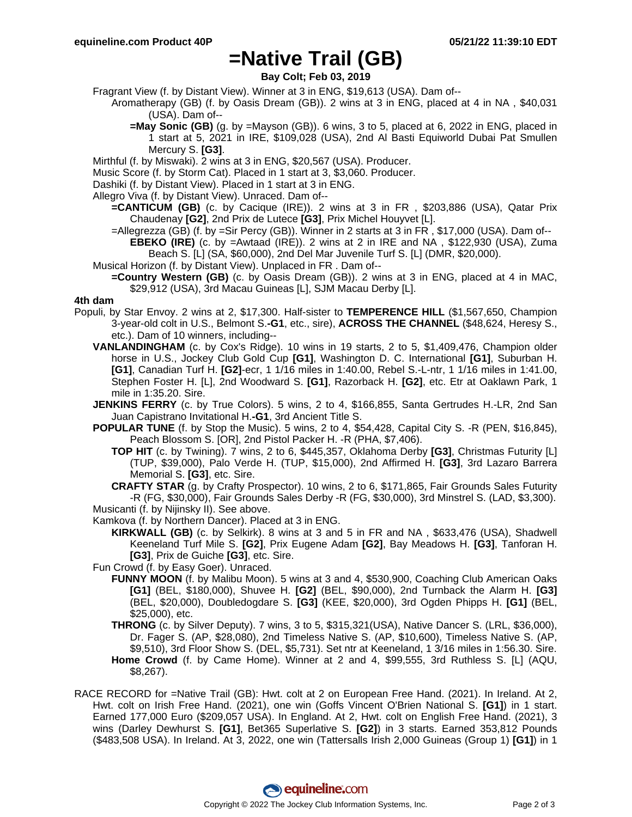### **=Native Trail (GB)**

**Bay Colt; Feb 03, 2019**

Fragrant View (f. by Distant View). Winner at 3 in ENG, \$19,613 (USA). Dam of--

- Aromatherapy (GB) (f. by Oasis Dream (GB)). 2 wins at 3 in ENG, placed at 4 in NA , \$40,031 (USA). Dam of--
	- **=May Sonic (GB)** (g. by =Mayson (GB)). 6 wins, 3 to 5, placed at 6, 2022 in ENG, placed in 1 start at 5, 2021 in IRE, \$109,028 (USA), 2nd Al Basti Equiworld Dubai Pat Smullen Mercury S. **[G3]**.
- Mirthful (f. by Miswaki). 2 wins at 3 in ENG, \$20,567 (USA). Producer.

Music Score (f. by Storm Cat). Placed in 1 start at 3, \$3,060. Producer.

Dashiki (f. by Distant View). Placed in 1 start at 3 in ENG.

- Allegro Viva (f. by Distant View). Unraced. Dam of--
	- **=CANTICUM (GB)** (c. by Cacique (IRE)). 2 wins at 3 in FR , \$203,886 (USA), Qatar Prix Chaudenay **[G2]**, 2nd Prix de Lutece **[G3]**, Prix Michel Houyvet [L].
	- =Allegrezza (GB) (f. by =Sir Percy (GB)). Winner in 2 starts at 3 in FR , \$17,000 (USA). Dam of--
		- **EBEKO (IRE)** (c. by =Awtaad (IRE)). 2 wins at 2 in IRE and NA , \$122,930 (USA), Zuma Beach S. [L] (SA, \$60,000), 2nd Del Mar Juvenile Turf S. [L] (DMR, \$20,000).
- Musical Horizon (f. by Distant View). Unplaced in FR . Dam of--
- **=Country Western (GB)** (c. by Oasis Dream (GB)). 2 wins at 3 in ENG, placed at 4 in MAC, \$29,912 (USA), 3rd Macau Guineas [L], SJM Macau Derby [L].

#### **4th dam**

- Populi, by Star Envoy. 2 wins at 2, \$17,300. Half-sister to **TEMPERENCE HILL** (\$1,567,650, Champion 3-year-old colt in U.S., Belmont S.**-G1**, etc., sire), **ACROSS THE CHANNEL** (\$48,624, Heresy S., etc.). Dam of 10 winners, including--
	- **VANLANDINGHAM** (c. by Cox's Ridge). 10 wins in 19 starts, 2 to 5, \$1,409,476, Champion older horse in U.S., Jockey Club Gold Cup **[G1]**, Washington D. C. International **[G1]**, Suburban H. **[G1]**, Canadian Turf H. **[G2]**-ecr, 1 1/16 miles in 1:40.00, Rebel S.-L-ntr, 1 1/16 miles in 1:41.00, Stephen Foster H. [L], 2nd Woodward S. **[G1]**, Razorback H. **[G2]**, etc. Etr at Oaklawn Park, 1 mile in 1:35.20. Sire.
	- **JENKINS FERRY** (c. by True Colors). 5 wins, 2 to 4, \$166,855, Santa Gertrudes H.-LR, 2nd San Juan Capistrano Invitational H.**-G1**, 3rd Ancient Title S.
	- **POPULAR TUNE** (f. by Stop the Music). 5 wins, 2 to 4, \$54,428, Capital City S. -R (PEN, \$16,845), Peach Blossom S. [OR], 2nd Pistol Packer H. -R (PHA, \$7,406).
		- **TOP HIT** (c. by Twining). 7 wins, 2 to 6, \$445,357, Oklahoma Derby **[G3]**, Christmas Futurity [L] (TUP, \$39,000), Palo Verde H. (TUP, \$15,000), 2nd Affirmed H. **[G3]**, 3rd Lazaro Barrera Memorial S. **[G3]**, etc. Sire.

**CRAFTY STAR** (g. by Crafty Prospector). 10 wins, 2 to 6, \$171,865, Fair Grounds Sales Futurity -R (FG, \$30,000), Fair Grounds Sales Derby -R (FG, \$30,000), 3rd Minstrel S. (LAD, \$3,300). Musicanti (f. by Nijinsky II). See above.

Kamkova (f. by Northern Dancer). Placed at 3 in ENG.

**KIRKWALL (GB)** (c. by Selkirk). 8 wins at 3 and 5 in FR and NA , \$633,476 (USA), Shadwell Keeneland Turf Mile S. **[G2]**, Prix Eugene Adam **[G2]**, Bay Meadows H. **[G3]**, Tanforan H. **[G3]**, Prix de Guiche **[G3]**, etc. Sire.

Fun Crowd (f. by Easy Goer). Unraced.

- **FUNNY MOON** (f. by Malibu Moon). 5 wins at 3 and 4, \$530,900, Coaching Club American Oaks **[G1]** (BEL, \$180,000), Shuvee H. **[G2]** (BEL, \$90,000), 2nd Turnback the Alarm H. **[G3]** (BEL, \$20,000), Doubledogdare S. **[G3]** (KEE, \$20,000), 3rd Ogden Phipps H. **[G1]** (BEL, \$25,000), etc.
- **THRONG** (c. by Silver Deputy). 7 wins, 3 to 5, \$315,321(USA), Native Dancer S. (LRL, \$36,000), Dr. Fager S. (AP, \$28,080), 2nd Timeless Native S. (AP, \$10,600), Timeless Native S. (AP, \$9,510), 3rd Floor Show S. (DEL, \$5,731). Set ntr at Keeneland, 1 3/16 miles in 1:56.30. Sire. **Home Crowd** (f. by Came Home). Winner at 2 and 4, \$99,555, 3rd Ruthless S. [L] (AQU,
	- \$8,267).
- RACE RECORD for =Native Trail (GB): Hwt. colt at 2 on European Free Hand. (2021). In Ireland. At 2, Hwt. colt on Irish Free Hand. (2021), one win (Goffs Vincent O'Brien National S. **[G1]**) in 1 start. Earned 177,000 Euro (\$209,057 USA). In England. At 2, Hwt. colt on English Free Hand. (2021), 3 wins (Darley Dewhurst S. **[G1]**, Bet365 Superlative S. **[G2]**) in 3 starts. Earned 353,812 Pounds (\$483,508 USA). In Ireland. At 3, 2022, one win (Tattersalls Irish 2,000 Guineas (Group 1) **[G1]**) in 1